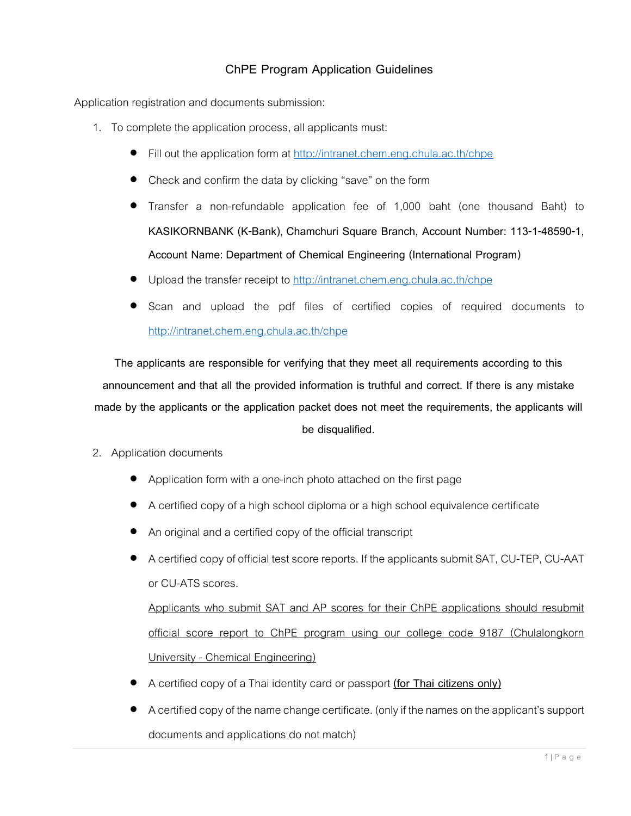## **ChPE Program Application Guidelines**

Application registration and documents submission:

- 1. To complete the application process, all applicants must:
	- Fill out the application form at<http://intranet.chem.eng.chula.ac.th/chpe>
	- Check and confirm the data by clicking "save" on the form
	- Transfer a non-refundable application fee of 1,000 baht (one thousand Baht) to **KASIKORNBANK (K-Bank)**, **Chamchuri Square Branch, Account Number: 113-1-48590-1, Account Name: Department of Chemical Engineering (International Program)**
	- Upload the transfer receipt to<http://intranet.chem.eng.chula.ac.th/chpe>
	- Scan and upload the pdf files of certified copies of required documents to <http://intranet.chem.eng.chula.ac.th/chpe>

**The applicants are responsible for verifying that they meet all requirements according to this announcement and that all the provided information is truthful and correct. If there is any mistake made by the applicants or the application packet does not meet the requirements, the applicants will be disqualified.**

- 2. Application documents
	- Application form with a one-inch photo attached on the first page
	- A certified copy of a high school diploma or a high school equivalence certificate
	- An original and a certified copy of the official transcript
	- A certified copy of official test score reports. If the applicants submit SAT, CU-TEP, CU-AAT or CU-ATS scores.

Applicants who submit SAT and AP scores for their ChPE applications should resubmit official score report to ChPE program using our college code 9187 (Chulalongkorn University - Chemical Engineering)

- A certified copy of a Thai identity card or passport **(for Thai citizens only)**
- A certified copy of the name change certificate. (only if the names on the applicant's support documents and applications do not match)